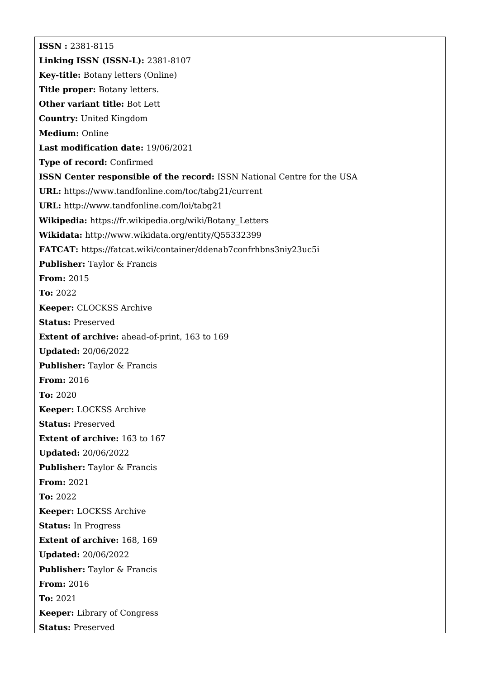**ISSN :** 2381-8115 **Linking ISSN (ISSN-L):** 2381-8107 **Key-title:** Botany letters (Online) **Title proper:** Botany letters. **Other variant title:** Bot Lett **Country:** United Kingdom **Medium:** Online **Last modification date:** 19/06/2021 **Type of record:** Confirmed **ISSN Center responsible of the record:** ISSN National Centre for the USA **URL:** <https://www.tandfonline.com/toc/tabg21/current> **URL:** <http://www.tandfonline.com/loi/tabg21> **Wikipedia:** [https://fr.wikipedia.org/wiki/Botany\\_Letters](https://fr.wikipedia.org/wiki/Botany_Letters) **Wikidata:** <http://www.wikidata.org/entity/Q55332399> **FATCAT:** <https://fatcat.wiki/container/ddenab7confrhbns3niy23uc5i> **Publisher:** Taylor & Francis **From:** 2015 **To:** 2022 **Keeper:** CLOCKSS Archive **Status:** Preserved **Extent of archive:** ahead-of-print, 163 to 169 **Updated:** 20/06/2022 **Publisher:** Taylor & Francis **From:** 2016 **To:** 2020 **Keeper:** LOCKSS Archive **Status:** Preserved **Extent of archive:** 163 to 167 **Updated:** 20/06/2022 **Publisher:** Taylor & Francis **From:** 2021 **To:** 2022 **Keeper:** LOCKSS Archive **Status:** In Progress **Extent of archive:** 168, 169 **Updated:** 20/06/2022 **Publisher:** Taylor & Francis **From:** 2016 **To:** 2021 **Keeper:** Library of Congress **Status:** Preserved